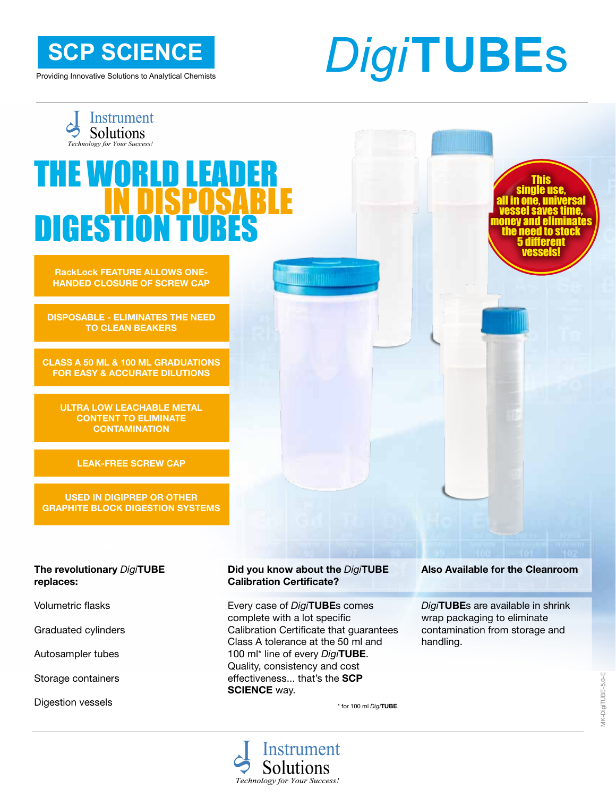**SCP SCIENCE**

Providing Innovative Solutions to Analytical Chemists

# *Digi***TUBE**s

This single use, all in one, universal **Lauessel saves time,<br>money and eliminates** 

> 5 different vessels!

to stock

Instrument Solutions

## THE WORLD  $\sf I$ **DIGES**

**RackLock FEATURE ALLOWS ONE-HANDED CLOSURE OF SCREW CAP**

**DISPOSABLE - ELIMINATES THE NEED TO CLEAN BEAKERS**

**CLASS A 50 ML & 100 ML GRADUATIONS FOR EASY & ACCURATE DILUTIONS** 

**ULTRA LOW LEACHABLE METAL CONTENT TO ELIMINATE CONTAMINATION**

**LEAK-FREE SCREW CAP** 

**USED IN DIGIPREP OR OTHER GRAPHITE BLOCK DIGESTION SYSTEMS**

#### **The revolutionary** *Digi***TUBE replaces:**

Volumetric flasks

Graduated cylinders

Autosampler tubes

Storage containers

Digestion vessels

#### **Did you know about the** *Digi***TUBE Calibration Certificate?**

**TIME STATE** 

Every case of *Digi***TUBE**s comes complete with a lot specific Calibration Certificate that guarantees Class A tolerance at the 50 ml and 100 ml\* line of every *Digi***TUBE**. Quality, consistency and cost effectiveness... that's the **SCP SCIENCE** way.

\* for 100 ml *Digi***TUBE**.

#### Instrument Solutions Technology for Your Success!

#### **Also Available for the Cleanroom**

*Digi***TUBE**s are available in shrink wrap packaging to eliminate contamination from storage and handling.

/K-DigiTUBE-5.0-E MK-DigiTUBE-5.0-E